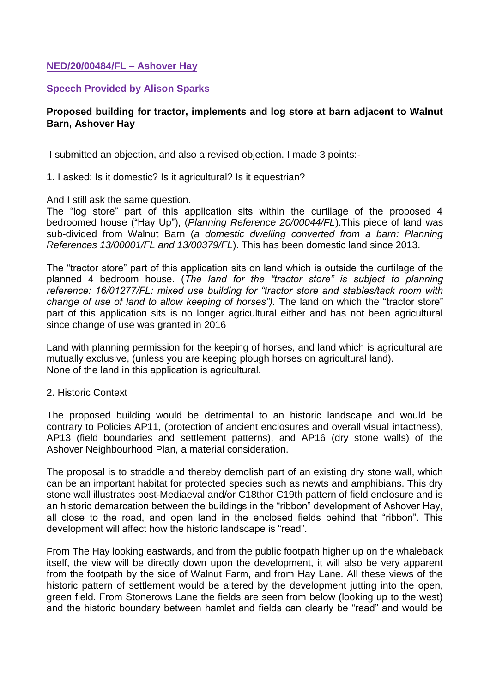## **NED/20/00484/FL – Ashover Hay**

## **Speech Provided by Alison Sparks**

## **Proposed building for tractor, implements and log store at barn adjacent to Walnut Barn, Ashover Hay**

I submitted an objection, and also a revised objection. I made 3 points:-

1. I asked: Is it domestic? Is it agricultural? Is it equestrian?

And I still ask the same question.

The "log store" part of this application sits within the curtilage of the proposed 4 bedroomed house ("Hay Up"), (*Planning Reference 20/00044/FL*).This piece of land was sub-divided from Walnut Barn (*a domestic dwelling converted from a barn: Planning References 13/00001/FL and 13/00379/FL*). This has been domestic land since 2013.

The "tractor store" part of this application sits on land which is outside the curtilage of the planned 4 bedroom house. (*The land for the "tractor store" is subject to planning reference: 16/01277/FL: mixed use building for "tractor store and stables/tack room with change of use of land to allow keeping of horses").* The land on which the "tractor store" part of this application sits is no longer agricultural either and has not been agricultural since change of use was granted in 2016

Land with planning permission for the keeping of horses, and land which is agricultural are mutually exclusive, (unless you are keeping plough horses on agricultural land). None of the land in this application is agricultural.

## 2. Historic Context

The proposed building would be detrimental to an historic landscape and would be contrary to Policies AP11, (protection of ancient enclosures and overall visual intactness), AP13 (field boundaries and settlement patterns), and AP16 (dry stone walls) of the Ashover Neighbourhood Plan, a material consideration.

The proposal is to straddle and thereby demolish part of an existing dry stone wall, which can be an important habitat for protected species such as newts and amphibians. This dry stone wall illustrates post-Mediaeval and/or C18thor C19th pattern of field enclosure and is an historic demarcation between the buildings in the "ribbon" development of Ashover Hay, all close to the road, and open land in the enclosed fields behind that "ribbon". This development will affect how the historic landscape is "read".

From The Hay looking eastwards, and from the public footpath higher up on the whaleback itself, the view will be directly down upon the development, it will also be very apparent from the footpath by the side of Walnut Farm, and from Hay Lane. All these views of the historic pattern of settlement would be altered by the development jutting into the open, green field. From Stonerows Lane the fields are seen from below (looking up to the west) and the historic boundary between hamlet and fields can clearly be "read" and would be